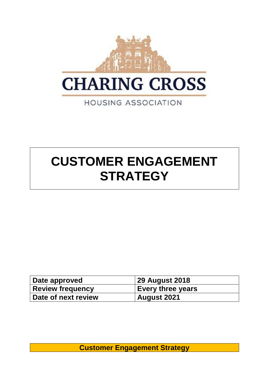

# **CUSTOMER ENGAGEMENT STRATEGY**

| Date approved       | 29 August 2018           |
|---------------------|--------------------------|
| Review frequency    | <b>Every three years</b> |
| Date of next review | <b>August 2021</b>       |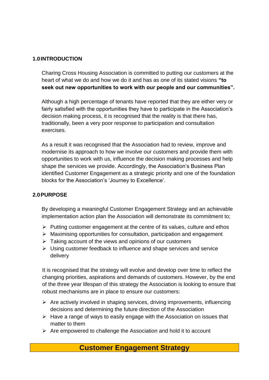#### **1.0INTRODUCTION**

Charing Cross Housing Association is committed to putting our customers at the heart of what we do and how we do it and has as one of its stated visions **"to seek out new opportunities to work with our people and our communities".**

Although a high percentage of tenants have reported that they are either very or fairly satisfied with the opportunities they have to participate in the Association's decision making process, it is recognised that the reality is that there has, traditionally, been a very poor response to participation and consultation exercises.

As a result it was recognised that the Association had to review, improve and modernise its approach to how we involve our customers and provide them with opportunities to work with us, influence the decision making processes and help shape the services we provide. Accordingly, the Association's Business Plan identified Customer Engagement as a strategic priority and one of the foundation blocks for the Association's 'Journey to Excellence'.

#### **2.0PURPOSE**

By developing a meaningful Customer Engagement Strategy and an achievable implementation action plan the Association will demonstrate its commitment to;

- ➢ Putting customer engagement at the centre of its values, culture and ethos
- ➢ Maximising opportunities for consultation, participation and engagement
- $\triangleright$  Taking account of the views and opinions of our customers
- ➢ Using customer feedback to influence and shape services and service delivery

It is recognised that the strategy will evolve and develop over time to reflect the changing priorities, aspirations and demands of customers. However, by the end of the three year lifespan of this strategy the Association is looking to ensure that robust mechanisms are in place to ensure our customers:

- ➢ Are actively involved in shaping services, driving improvements, influencing decisions and determining the future direction of the Association
- ➢ Have a range of ways to easily engage with the Association on issues that matter to them
- $\triangleright$  Are empowered to challenge the Association and hold it to account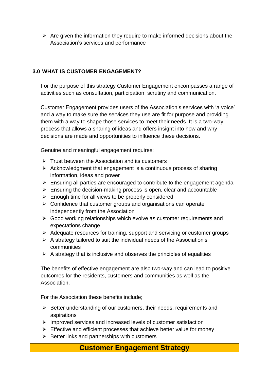$\triangleright$  Are given the information they require to make informed decisions about the Association's services and performance

#### **3.0 WHAT IS CUSTOMER ENGAGEMENT?**

For the purpose of this strategy Customer Engagement encompasses a range of activities such as consultation, participation, scrutiny and communication.

Customer Engagement provides users of the Association's services with 'a voice' and a way to make sure the services they use are fit for purpose and providing them with a way to shape those services to meet their needs. It is a two-way process that allows a sharing of ideas and offers insight into how and why decisions are made and opportunities to influence these decisions.

Genuine and meaningful engagement requires:

- $\triangleright$  Trust between the Association and its customers
- $\triangleright$  Acknowledgment that engagement is a continuous process of sharing information, ideas and power
- $\triangleright$  Ensuring all parties are encouraged to contribute to the engagement agenda
- $\triangleright$  Ensuring the decision-making process is open, clear and accountable
- $\triangleright$  Enough time for all views to be properly considered
- $\triangleright$  Confidence that customer groups and organisations can operate independently from the Association
- ➢ Good working relationships which evolve as customer requirements and expectations change
- ➢ Adequate resources for training, support and servicing or customer groups
- $\triangleright$  A strategy tailored to suit the individual needs of the Association's communities
- $\triangleright$  A strategy that is inclusive and observes the principles of equalities

The benefits of effective engagement are also two-way and can lead to positive outcomes for the residents, customers and communities as well as the **Association** 

For the Association these benefits include;

- ➢ Better understanding of our customers, their needs, requirements and aspirations
- ➢ Improved services and increased levels of customer satisfaction
- ➢ Effective and efficient processes that achieve better value for money
- $\triangleright$  Better links and partnerships with customers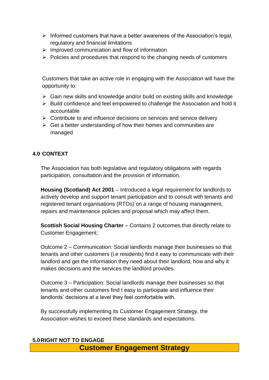- ➢ Informed customers that have a better awareness of the Association's legal, regulatory and financial limitations
- $\triangleright$  Improved communication and flow of information
- ➢ Policies and procedures that respond to the changing needs of customers

Customers that take an active role in engaging with the Association will have the opportunity to:

- ➢ Gain new skills and knowledge and/or build on existing skills and knowledge
- ➢ Build confidence and feel empowered to challenge the Association and hold it accountable
- $\triangleright$  Contribute to and influence decisions on services and service delivery
- $\triangleright$  Get a better understanding of how their homes and communities are managed

#### **4.0 CONTEXT**

The Association has both legislative and regulatory obligations with regards participation, consultation and the provision of information.

**Housing (Scotland) Act 2001** – Introduced a legal requirement for landlords to actively develop and support tenant participation and to consult with tenants and registered tenant organisations (RTOs) on a range of housing management, repairs and maintenance policies and proposal which may affect them.

**Scottish Social Housing Charter** – Contains 2 outcomes that directly relate to Customer Engagement;

Outcome 2 – Communication: Social landlords manage their businesses so that tenants and other customers (i.e residents) find it easy to communicate with their landlord and get the information they need about their landlord, how and why it makes decisions and the services the landlord provides.

Outcome 3 – Participation: Social landlords manage their businesses so that tenants and other customers find t easy to participate and influence their landlords' decisions at a level they feel comfortable with.

By successfully implementing its Customer Engagement Strategy, the Association wishes to exceed these standards and expectations.

#### **5.0RIGHT NOT TO ENGAGE**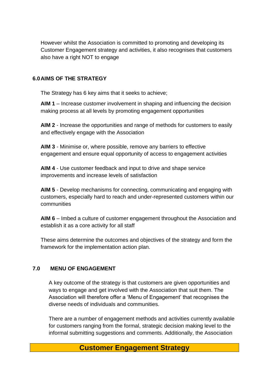However whilst the Association is committed to promoting and developing its Customer Engagement strategy and activities, it also recognises that customers also have a right NOT to engage

#### **6.0AIMS OF THE STRATEGY**

The Strategy has 6 key aims that it seeks to achieve;

**AIM 1** – Increase customer involvement in shaping and influencing the decision making process at all levels by promoting engagement opportunities

**AIM 2** - Increase the opportunities and range of methods for customers to easily and effectively engage with the Association

**AIM 3** - Minimise or, where possible, remove any barriers to effective engagement and ensure equal opportunity of access to engagement activities

**AIM 4** - Use customer feedback and input to drive and shape service improvements and increase levels of satisfaction

**AIM 5** - Develop mechanisms for connecting, communicating and engaging with customers, especially hard to reach and under-represented customers within our communities

**AIM 6** – Imbed a culture of customer engagement throughout the Association and establish it as a core activity for all staff

These aims determine the outcomes and objectives of the strategy and form the framework for the implementation action plan.

#### **7.0 MENU OF ENGAGEMENT**

A key outcome of the strategy is that customers are given opportunities and ways to engage and get involved with the Association that suit them. The Association will therefore offer a 'Menu of Engagement' that recognises the diverse needs of individuals and communities.

There are a number of engagement methods and activities currently available for customers ranging from the formal, strategic decision making level to the informal submitting suggestions and comments. Additionally, the Association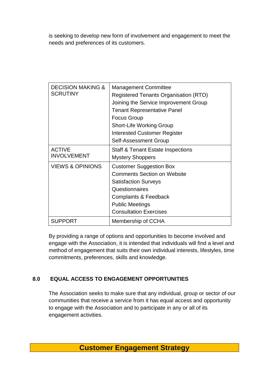is seeking to develop new form of involvement and engagement to meet the needs and preferences of its customers.

| <b>DECISION MAKING &amp;</b><br><b>SCRUTINY</b> | <b>Management Committee</b><br><b>Registered Tenants Organisation (RTO)</b><br>Joining the Service Improvement Group<br><b>Tenant Representative Panel</b><br><b>Focus Group</b><br><b>Short-Life Working Group</b><br><b>Interested Customer Register</b><br>Self-Assessment Group |
|-------------------------------------------------|-------------------------------------------------------------------------------------------------------------------------------------------------------------------------------------------------------------------------------------------------------------------------------------|
| <b>ACTIVE</b><br><b>INVOLVEMENT</b>             | Staff & Tenant Estate Inspections                                                                                                                                                                                                                                                   |
|                                                 | <b>Mystery Shoppers</b>                                                                                                                                                                                                                                                             |
| <b>VIEWS &amp; OPINIONS</b>                     | <b>Customer Suggestion Box</b>                                                                                                                                                                                                                                                      |
|                                                 | <b>Comments Section on Website</b>                                                                                                                                                                                                                                                  |
|                                                 | <b>Satisfaction Surveys</b>                                                                                                                                                                                                                                                         |
|                                                 | Questionnaires                                                                                                                                                                                                                                                                      |
|                                                 | <b>Complaints &amp; Feedback</b>                                                                                                                                                                                                                                                    |
|                                                 | <b>Public Meetings</b>                                                                                                                                                                                                                                                              |
|                                                 | <b>Consultation Exercises</b>                                                                                                                                                                                                                                                       |
| <b>SUPPORT</b>                                  | Membership of CCHA                                                                                                                                                                                                                                                                  |

By providing a range of options and opportunities to become involved and engage with the Association, it is intended that individuals will find a level and method of engagement that suits their own individual interests, lifestyles, time commitments, preferences, skills and knowledge.

## **8.0 EQUAL ACCESS TO ENGAGEMENT OPPORTUNITIES**

The Association seeks to make sure that any individual, group or sector of our communities that receive a service from it has equal access and opportunity to engage with the Association and to participate in any or all of its engagement activities.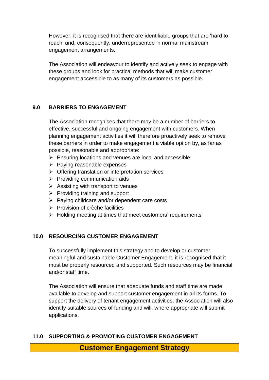However, it is recognised that there are identifiable groups that are 'hard to reach' and, consequently, underrepresented in normal mainstream engagement arrangements.

The Association will endeavour to identify and actively seek to engage with these groups and look for practical methods that will make customer engagement accessible to as many of its customers as possible.

#### **9.0 BARRIERS TO ENGAGEMENT**

The Association recognises that there may be a number of barriers to effective, successful and ongoing engagement with customers. When planning engagement activities it will therefore proactively seek to remove these barriers in order to make engagement a viable option by, as far as possible, reasonable and appropriate:

- ➢ Ensuring locations and venues are local and accessible
- ➢ Paying reasonable expenses
- ➢ Offering translation or interpretation services
- $\triangleright$  Providing communication aids
- $\triangleright$  Assisting with transport to venues
- $\triangleright$  Providing training and support
- ➢ Paying childcare and/or dependent care costs
- ➢ Provision of crèche facilities
- ➢ Holding meeting at times that meet customers' requirements

#### **10.0 RESOURCING CUSTOMER ENGAGEMENT**

To successfully implement this strategy and to develop or customer meaningful and sustainable Customer Engagement, it is recognised that it must be properly resourced and supported. Such resources may be financial and/or staff time.

The Association will ensure that adequate funds and staff time are made available to develop and support customer engagement in all its forms. To support the delivery of tenant engagement activities, the Association will also identify suitable sources of funding and will, where appropriate will submit applications.

#### **11.0 SUPPORTING & PROMOTING CUSTOMER ENGAGEMENT**